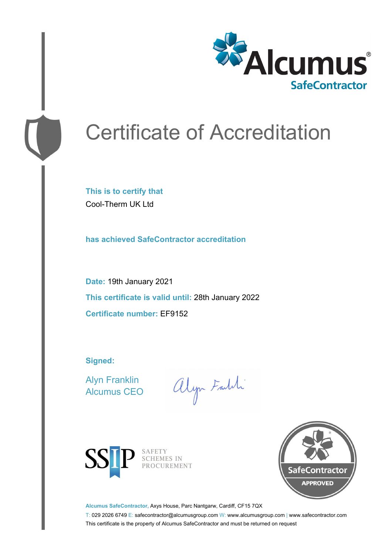

# Certificate of Accreditation

**This is to certify that** Cool-Therm UK Ltd

**has achieved SafeContractor accreditation**

**Date:** 19th January 2021 **This certificate is valid until:** 28th January 2022 **Certificate number:** EF9152

**Signed:**

Alyn Franklin Alcumus CEO

alyn Faith



SAFETY<br>SCHEMES IN PROCUREMENT



**Alcumus SafeContractor,** Axys House, Parc Nantgarw, Cardiff, CF15 7QX

T: 029 2026 6749 E: safecontractor@alcumusgroup.com W: www.alcumusgroup.com | www.safecontractor.com This certificate is the property of Alcumus SafeContractor and must be returned on request